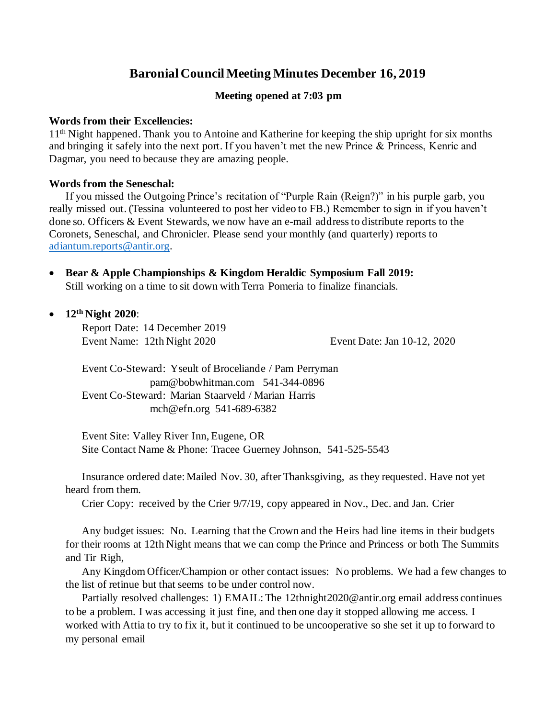# **Baronial Council Meeting Minutes December 16, 2019**

### **Meeting opened at 7:03 pm**

#### **Words from their Excellencies:**

11<sup>th</sup> Night happened. Thank you to Antoine and Katherine for keeping the ship upright for six months and bringing it safely into the next port. If you haven't met the new Prince & Princess, Kenric and Dagmar, you need to because they are amazing people.

#### **Words from the Seneschal:**

If you missed the Outgoing Prince's recitation of "Purple Rain (Reign?)" in his purple garb, you really missed out. (Tessina volunteered to post her video to FB.) Remember to sign in if you haven't done so. Officers & Event Stewards, we now have an e-mail address to distribute reports to the Coronets, Seneschal, and Chronicler. Please send your monthly (and quarterly) reports to adiantum.reports@antir.org.

• **Bear & Apple Championships & Kingdom Heraldic Symposium Fall 2019:**  Still working on a time to sit down with Terra Pomeria to finalize financials.

• **12th Night 2020**:

Report Date: 14 December 2019 Event Name: 12th Night 2020 Event Date: Jan 10-12, 2020

Event Co-Steward: Yseult of Broceliande / Pam Perryman pam@bobwhitman.com 541-344-0896 Event Co-Steward: Marian Staarveld / Marian Harris mch@efn.org 541-689-6382

Event Site: Valley River Inn, Eugene, OR Site Contact Name & Phone: Tracee Guerney Johnson, 541-525-5543

Insurance ordered date: Mailed Nov. 30, after Thanksgiving, as they requested. Have not yet heard from them.

Crier Copy: received by the Crier 9/7/19, copy appeared in Nov., Dec. and Jan. Crier

Any budget issues: No. Learning that the Crown and the Heirs had line items in their budgets for their rooms at 12th Night means that we can comp the Prince and Princess or both The Summits and Tir Righ,

Any Kingdom Officer/Champion or other contact issues: No problems. We had a few changes to the list of retinue but that seems to be under control now.

Partially resolved challenges: 1) EMAIL: The 12thnight2020@antir.org email address continues to be a problem. I was accessing it just fine, and then one day it stopped allowing me access. I worked with Attia to try to fix it, but it continued to be uncooperative so she set it up to forward to my personal email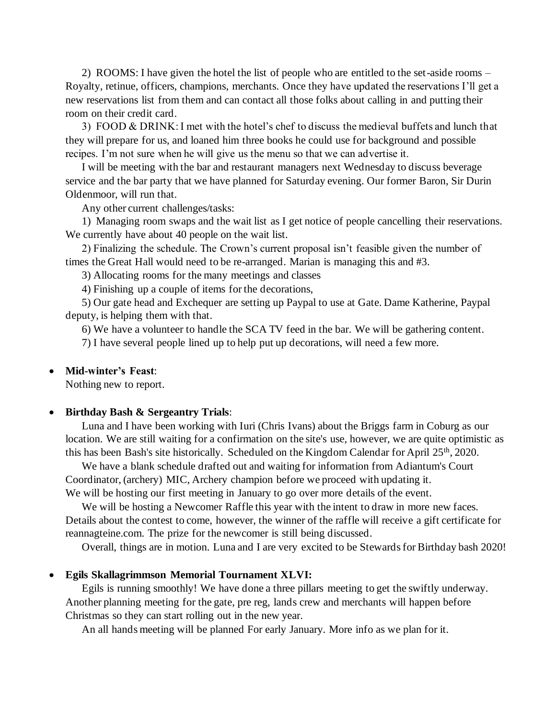2) ROOMS: I have given the hotel the list of people who are entitled to the set-aside rooms – Royalty, retinue, officers, champions, merchants. Once they have updated the reservations I'll get a new reservations list from them and can contact all those folks about calling in and putting their room on their credit card.

3) FOOD & DRINK: I met with the hotel's chef to discuss the medieval buffets and lunch that they will prepare for us, and loaned him three books he could use for background and possible recipes. I'm not sure when he will give us the menu so that we can advertise it.

I will be meeting with the bar and restaurant managers next Wednesday to discuss beverage service and the bar party that we have planned for Saturday evening. Our former Baron, Sir Durin Oldenmoor, will run that.

Any other current challenges/tasks:

1) Managing room swaps and the wait list as I get notice of people cancelling their reservations. We currently have about 40 people on the wait list.

2) Finalizing the schedule. The Crown's current proposal isn't feasible given the number of times the Great Hall would need to be re-arranged. Marian is managing this and #3.

3) Allocating rooms for the many meetings and classes

4) Finishing up a couple of items for the decorations,

5) Our gate head and Exchequer are setting up Paypal to use at Gate. Dame Katherine, Paypal deputy, is helping them with that.

6) We have a volunteer to handle the SCA TV feed in the bar. We will be gathering content.

7) I have several people lined up to help put up decorations, will need a few more.

#### • **Mid-winter's Feast**:

Nothing new to report.

#### • **Birthday Bash & Sergeantry Trials**:

Luna and I have been working with Iuri (Chris Ivans) about the Briggs farm in Coburg as our location. We are still waiting for a confirmation on the site's use, however, we are quite optimistic as this has been Bash's site historically. Scheduled on the Kingdom Calendar for April 25<sup>th</sup>, 2020.

We have a blank schedule drafted out and waiting for information from Adiantum's Court Coordinator, (archery) MIC, Archery champion before we proceed with updating it.

We will be hosting our first meeting in January to go over more details of the event.

We will be hosting a Newcomer Raffle this year with the intent to draw in more new faces. Details about the contest to come, however, the winner of the raffle will receive a gift certificate for reannagteine.com. The prize for the newcomer is still being discussed.

Overall, things are in motion. Luna and I are very excited to be Stewards for Birthday bash 2020!

#### • **Egils Skallagrimmson Memorial Tournament XLVI:**

Egils is running smoothly! We have done a three pillars meeting to get the swiftly underway. Another planning meeting for the gate, pre reg, lands crew and merchants will happen before Christmas so they can start rolling out in the new year.

An all hands meeting will be planned For early January. More info as we plan for it.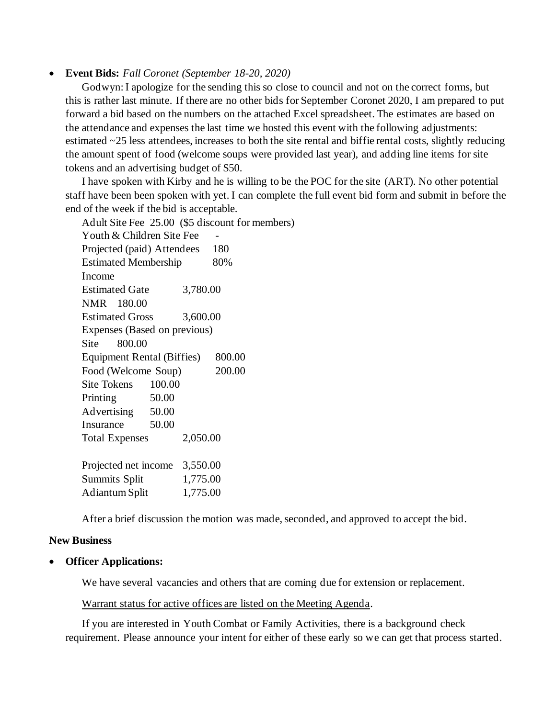### • **Event Bids:** *Fall Coronet (September 18-20, 2020)*

Godwyn: I apologize for the sending this so close to council and not on the correct forms, but this is rather last minute. If there are no other bids for September Coronet 2020, I am prepared to put forward a bid based on the numbers on the attached Excel spreadsheet. The estimates are based on the attendance and expenses the last time we hosted this event with the following adjustments: estimated ~25 less attendees, increases to both the site rental and biffie rental costs, slightly reducing the amount spent of food (welcome soups were provided last year), and adding line items for site tokens and an advertising budget of \$50.

I have spoken with Kirby and he is willing to be the POC for the site (ART). No other potential staff have been been spoken with yet. I can complete the full event bid form and submit in before the end of the week if the bid is acceptable.

Adult Site Fee 25.00 (\$5 discount for members) Youth & Children Site Fee Projected (paid) Attendees 180 Estimated Membership 80% Income Estimated Gate 3,780.00 NMR 180.00 Estimated Gross 3,600.00 Expenses (Based on previous) Site 800.00 Equipment Rental (Biffies) 800.00 Food (Welcome Soup) 200.00 Site Tokens 100.00 Printing 50.00 Advertising 50.00 Insurance 50.00 Total Expenses 2,050.00 Projected net income 3,550.00 Summits Split 1,775.00 Adiantum Split 1,775.00

After a brief discussion the motion was made, seconded, and approved to accept the bid.

#### **New Business**

#### • **Officer Applications:**

We have several vacancies and others that are coming due for extension or replacement.

#### Warrant status for active offices are listed on the Meeting Agenda.

If you are interested in Youth Combat or Family Activities, there is a background check requirement. Please announce your intent for either of these early so we can get that process started.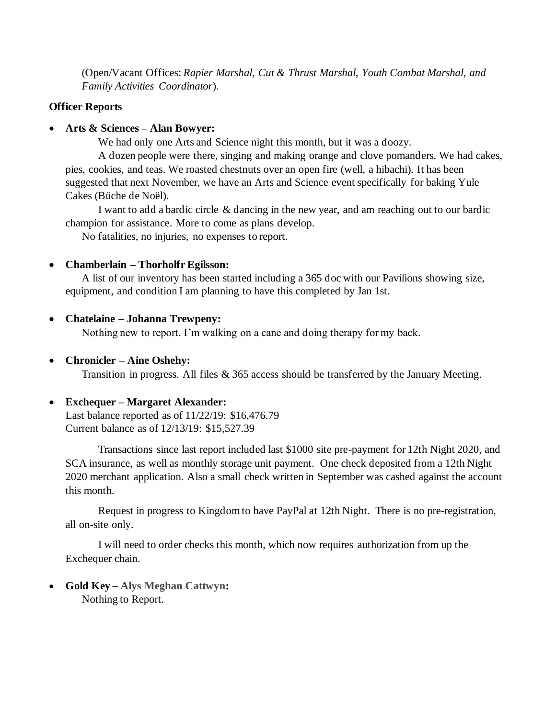(Open/Vacant Offices: *Rapier Marshal, Cut & Thrust Marshal, Youth Combat Marshal, and Family Activities Coordinator*).

# **Officer Reports**

# • **Arts & Sciences – Alan Bowyer:**

We had only one Arts and Science night this month, but it was a doozy.

A dozen people were there, singing and making orange and clove pomanders. We had cakes, pies, cookies, and teas. We roasted chestnuts over an open fire (well, a hibachi). It has been suggested that next November, we have an Arts and Science event specifically for baking Yule Cakes (Büche de Noël).

I want to add a bardic circle & dancing in the new year, and am reaching out to our bardic champion for assistance. More to come as plans develop.

No fatalities, no injuries, no expenses to report.

# • **Chamberlain – Thorholfr Egilsson:**

A list of our inventory has been started including a 365 doc with our Pavilions showing size, equipment, and condition I am planning to have this completed by Jan 1st.

# • **Chatelaine – Johanna Trewpeny:**

Nothing new to report. I'm walking on a cane and doing therapy for my back.

# • **Chronicler – Aine Oshehy:**

Transition in progress. All files & 365 access should be transferred by the January Meeting.

# • **Exchequer – Margaret Alexander:**

Last balance reported as of 11/22/19: \$16,476.79 Current balance as of 12/13/19: \$15,527.39

Transactions since last report included last \$1000 site pre-payment for 12th Night 2020, and SCA insurance, as well as monthly storage unit payment. One check deposited from a 12th Night 2020 merchant application. Also a small check written in September was cashed against the account this month.

Request in progress to Kingdom to have PayPal at 12th Night. There is no pre-registration, all on-site only.

I will need to order checks this month, which now requires authorization from up the Exchequer chain.

• **Gold Key – Alys Meghan Cattwyn:**  Nothing to Report.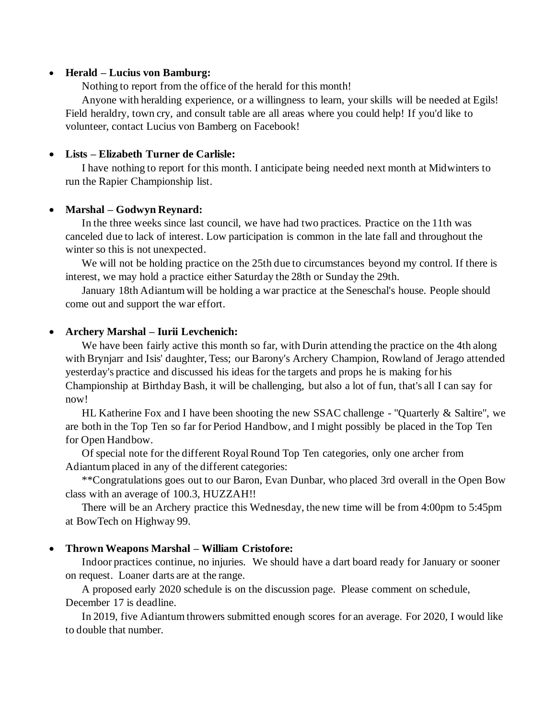#### • **Herald – Lucius von Bamburg:**

Nothing to report from the office of the herald for this month!

Anyone with heralding experience, or a willingness to learn, your skills will be needed at Egils! Field heraldry, town cry, and consult table are all areas where you could help! If you'd like to volunteer, contact Lucius von Bamberg on Facebook!

# • **Lists – Elizabeth Turner de Carlisle:**

I have nothing to report for this month. I anticipate being needed next month at Midwinters to run the Rapier Championship list.

### • **Marshal – Godwyn Reynard:**

In the three weeks since last council, we have had two practices. Practice on the 11th was canceled due to lack of interest. Low participation is common in the late fall and throughout the winter so this is not unexpected.

We will not be holding practice on the 25th due to circumstances beyond my control. If there is interest, we may hold a practice either Saturday the 28th or Sunday the 29th.

January 18th Adiantum will be holding a war practice at the Seneschal's house. People should come out and support the war effort.

### • **Archery Marshal – Iurii Levchenich:**

We have been fairly active this month so far, with Durin attending the practice on the 4th along with Brynjarr and Isis' daughter, Tess; our Barony's Archery Champion, Rowland of Jerago attended yesterday's practice and discussed his ideas for the targets and props he is making for his Championship at Birthday Bash, it will be challenging, but also a lot of fun, that's all I can say for now!

HL Katherine Fox and I have been shooting the new SSAC challenge - "Quarterly & Saltire", we are both in the Top Ten so far for Period Handbow, and I might possibly be placed in the Top Ten for Open Handbow.

Of special note for the different Royal Round Top Ten categories, only one archer from Adiantum placed in any of the different categories:

\*\*Congratulations goes out to our Baron, Evan Dunbar, who placed 3rd overall in the Open Bow class with an average of 100.3, HUZZAH!!

There will be an Archery practice this Wednesday, the new time will be from 4:00pm to 5:45pm at BowTech on Highway 99.

### • **Thrown Weapons Marshal – William Cristofore:**

Indoor practices continue, no injuries. We should have a dart board ready for January or sooner on request. Loaner darts are at the range.

A proposed early 2020 schedule is on the discussion page. Please comment on schedule, December 17 is deadline.

In 2019, five Adiantum throwers submitted enough scores for an average. For 2020, I would like to double that number.